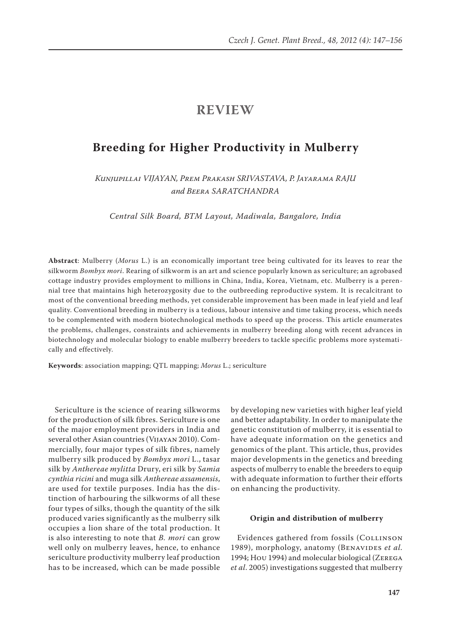# **REVIEW**

## **Breeding for Higher Productivity in Mulberry**

## *Kunjupillai VIJAYAN, Prem Prakash SRIVASTAVA, P. Jayarama RAJU and Beera SARATCHANDRA*

*Central Silk Board, BTM Layout, Madiwala, Bangalore, India*

**Abstract**: Mulberry (*Morus* L.) is an economically important tree being cultivated for its leaves to rear the silkworm *Bombyx mori*. Rearing of silkworm is an art and science popularly known as sericulture; an agrobased cottage industry provides employment to millions in China, India, Korea, Vietnam, etc. Mulberry is a perennial tree that maintains high heterozygosity due to the outbreeding reproductive system. It is recalcitrant to most of the conventional breeding methods, yet considerable improvement has been made in leaf yield and leaf quality. Conventional breeding in mulberry is a tedious, labour intensive and time taking process, which needs to be complemented with modern biotechnological methods to speed up the process. This article enumerates the problems, challenges, constraints and achievements in mulberry breeding along with recent advances in biotechnology and molecular biology to enable mulberry breeders to tackle specific problems more systematically and effectively.

**Keywords**: association mapping; QTL mapping; *Morus* L.; sericulture

Sericulture is the science of rearing silkworms for the production of silk fibres. Sericulture is one of the major employment providers in India and several other Asian countries (Vijayan 2010). Commercially, four major types of silk fibres, namely mulberry silk produced by *Bombyx mori* L., tasar silk by *Anthereae mylitta* Drury, eri silk by *Samia cynthia ricini* and muga silk *Anthereae assamensis*, are used for textile purposes. India has the distinction of harbouring the silkworms of all these four types of silks, though the quantity of the silk produced varies significantly as the mulberry silk occupies a lion share of the total production. It is also interesting to note that *B. mori* can grow well only on mulberry leaves, hence, to enhance sericulture productivity mulberry leaf production has to be increased, which can be made possible

by developing new varieties with higher leaf yield and better adaptability. In order to manipulate the genetic constitution of mulberry, it is essential to have adequate information on the genetics and genomics of the plant. This article, thus, provides major developments in the genetics and breeding aspects of mulberry to enable the breeders to equip with adequate information to further their efforts on enhancing the productivity.

## **Origin and distribution of mulberry**

Evidences gathered from fossils (COLLINSON 1989), morphology, anatomy (BENAVIDES et al. 1994; Hou 1994) and molecular biological (Zerega *et al*. 2005) investigations suggested that mulberry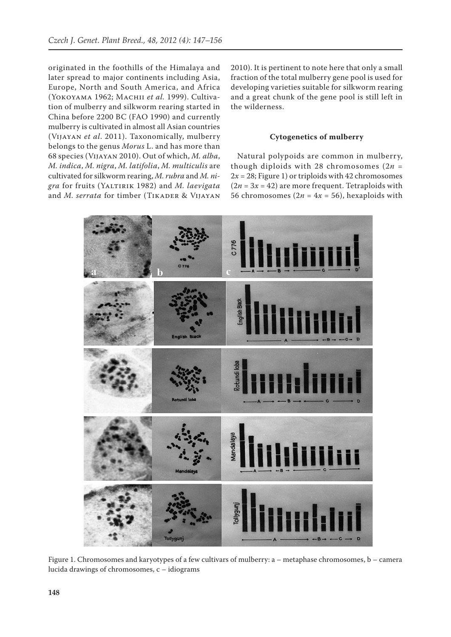originated in the foothills of the Himalaya and later spread to major continents including Asia, Europe, North and South America, and Africa (Yokoyama 1962; Machii *et al.* 1999). Cultivation of mulberry and silkworm rearing started in China before 2200 BC (FAO 1990) and currently mulberry is cultivated in almost all Asian countries (Vijayan *et al*. 2011). Taxonomically, mulberry belongs to the genus *Morus* L. and has more than 68 species (Vijayan 2010). Out of which, *M. alba*, *M. indica*, *M. nigra*, *M. latifolia*, *M. multiculis* are cultivated for silkworm rearing, *M. rubra* and *M. nigra* for fruits (Yaltirik 1982) and *M. laevigata* and *M. serrata* for timber (TIKADER & VIJAYAN

2010). It is pertinent to note here that only a small fraction of the total mulberry gene pool is used for developing varieties suitable for silkworm rearing and a great chunk of the gene pool is still left in the wilderness.

## **Cytogenetics of mulberry**

Natural polypoids are common in mulberry, though diploids with 28 chromosomes  $(2n =$  $2x = 28$ ; Figure 1) or triploids with 42 chromosomes  $(2n = 3x = 42)$  are more frequent. Tetraploids with 56 chromosomes  $(2n = 4x = 56)$ , hexaploids with



Figure 1. Chromosomes and karyotypes of a few cultivars of mulberry: a – metaphase chromosomes, b – camera lucida drawings of chromosomes, c – idiograms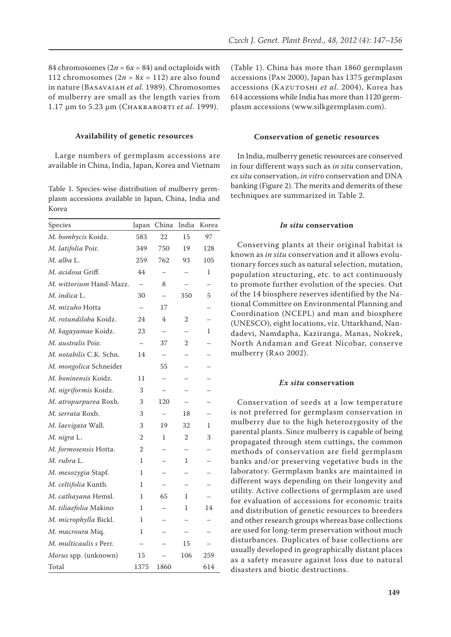84 chromosomes  $(2n = 6x = 84)$  and octaploids with 112 chromosomes  $(2n = 8x = 112)$  are also found in nature (Basavaiah *et al.* 1989). Chromosomes of mulberry are small as the length varies from 1.17 µm to 5.23 µm (Chakraborti *et al*. 1999).

### **Availability of genetic resources**

Large numbers of germplasm accessions are available in China, India, Japan, Korea and Vietnam

Table 1. Species-wise distribution of mulberry germplasm accessions available in Japan, China, India and Korea

| Species                 | Japan | China | India          | Korea |
|-------------------------|-------|-------|----------------|-------|
| M. bombycis Koidz.      | 583   | 22    | 15             | 97    |
| M. latifolia Poir.      | 349   | 750   | 19             | 128   |
| M. alba L.              | 259   | 762   | 93             | 105   |
| M. acidosa Griff.       | 44    |       |                | 1     |
| M. wittorium Hand-Mazz. |       | 8     |                |       |
| M. indica L.            | 30    |       | 350            | 5     |
| M. mizuho Hotta         |       | 17    |                |       |
| M. rotundiloba Koidz.   | 24    | 4     | 2              |       |
| M. kagayamae Koidz.     | 23    |       |                | 1     |
| M. australis Poir.      | -     | 37    | $\overline{2}$ |       |
| M. notabilis C.K. Schn. | 14    |       |                |       |
| M. mongolica Schneider  |       | 55    |                |       |
| M. boninensis Koidz.    | 11    |       |                |       |
| M. nigriformis Koidz.   | 3     |       |                |       |
| M. atropurpurea Roxb.   | 3     | 120   |                |       |
| <i>M. serrata</i> Roxb. | 3     |       | 18             |       |
| M. laevigata Wall.      | 3     | 19    | 32             | 1     |
| M. nigra L.             | 2     | 1     | 2              | 3     |
| M. formosensis Hotta.   | 2     |       |                |       |
| M. rubra L.             | 1     |       | 1              |       |
| M. mesozygia Stapf.     | 1     |       |                |       |
| M. celtifolia Kunth.    | 1     |       |                |       |
| M. cathayana Hemsl.     | 1     | 65    | 1              |       |
| M. tiliaefolia Makino   | 1     |       | 1              | 14    |
| M. microphylla Bickl.   | 1     |       |                |       |
| M. macroura Miq.        | 1     |       |                |       |
| M. multicaulis s Perr.  |       |       | 15             |       |
| Morus spp. (unknown)    | 15    |       | 106            | 259   |
| Total                   | 1375  | 1860  |                | 614   |

(Table 1). China has more than 1860 germplasm accessions (Pan 2000), Japan has 1375 germplasm accessions (Kazutoshi *et al*. 2004), Korea has 614 accessions while India has more than 1120 germplasm accessions (www.silkgermplasm.com).

### **Conservation of genetic resources**

In India, mulberry genetic resources are conserved in four different ways such as *in situ* conservation, *ex situ* conservation, *in vitro* conservation and DNA banking (Figure 2). The merits and demerits of these techniques are summarized in Table 2.

#### *In situ* **conservation**

Conserving plants at their original habitat is known as *in situ* conservation and it allows evolutionary forces such as natural selection, mutation, population structuring, etc. to act continuously to promote further evolution of the species. Out of the 14 biosphere reserves identified by the National Committee on Environmental Planning and Coordination (NCEPL) and man and biosphere (UNESCO), eight locations, viz. Uttarkhand, Nandadevi, Namdapha, Kaziranga, Manas, Nokrek, North Andaman and Great Nicobar, conserve mulberry (Rao 2002).

## *Ex situ* **conservation**

Conservation of seeds at a low temperature is not preferred for germplasm conservation in mulberry due to the high heterozygosity of the parental plants. Since mulberry is capable of being propagated through stem cuttings, the common methods of conservation are field germplasm banks and/or preserving vegetative buds in the laboratory. Germplasm banks are maintained in different ways depending on their longevity and utility. Active collections of germplasm are used for evaluation of accessions for economic traits and distribution of genetic resources to breeders and other research groups whereas base collections are used for long-term preservation without much disturbances. Duplicates of base collections are usually developed in geographically distant places as a safety measure against loss due to natural disasters and biotic destructions.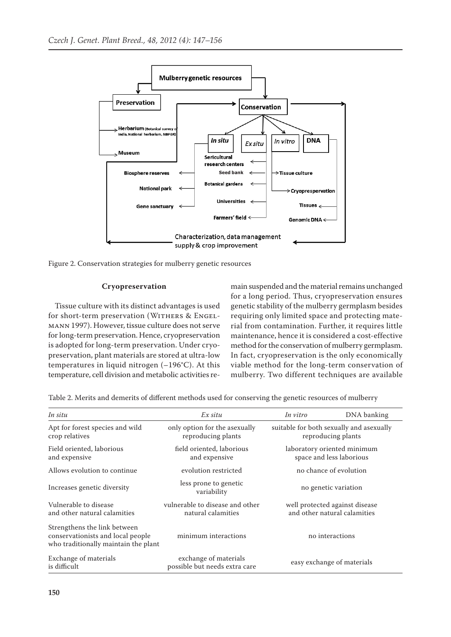



#### **Cryopreservation**

Tissue culture with its distinct advantages is used for short-term preservation (WITHERS & ENGELmann 1997). However, tissue culture does not serve for long-term preservation. Hence, cryopreservation is adopted for long-term preservation. Under cryopreservation, plant materials are stored at ultra-low temperatures in liquid nitrogen (–196°C). At this temperature, cell division and metabolic activities remain suspended and the material remains unchanged for a long period. Thus, cryopreservation ensures genetic stability of the mulberry germplasm besides requiring only limited space and protecting material from contamination. Further, it requires little maintenance, hence it is considered a cost-effective method for the conservation of mulberry germplasm. In fact, cryopreservation is the only economically viable method for the long-term conservation of mulberry. Two different techniques are available

| In situ                                                                                                   | $Ex$ situ                                              | In vitro | DNA banking                                                    |
|-----------------------------------------------------------------------------------------------------------|--------------------------------------------------------|----------|----------------------------------------------------------------|
| Apt for forest species and wild<br>crop relatives                                                         | only option for the asexually<br>reproducing plants    |          | suitable for both sexually and asexually<br>reproducing plants |
| Field oriented, laborious<br>and expensive                                                                | field oriented, laborious<br>and expensive             |          | laboratory oriented minimum<br>space and less laborious        |
| Allows evolution to continue                                                                              | evolution restricted                                   |          | no chance of evolution                                         |
| Increases genetic diversity                                                                               | less prone to genetic<br>variability                   |          | no genetic variation                                           |
| Vulnerable to disease<br>and other natural calamities                                                     | vulnerable to disease and other<br>natural calamities  |          | well protected against disease<br>and other natural calamities |
| Strengthens the link between<br>conservationists and local people<br>who traditionally maintain the plant | minimum interactions                                   |          | no interactions                                                |
| Exchange of materials<br>is difficult                                                                     | exchange of materials<br>possible but needs extra care |          | easy exchange of materials                                     |

Table 2. Merits and demerits of different methods used for conserving the genetic resources of mulberry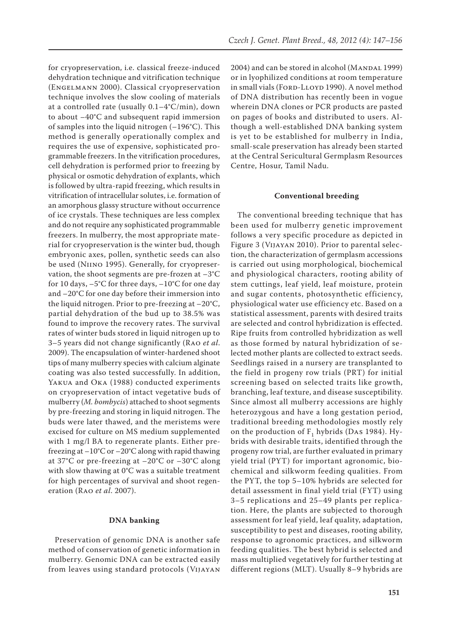for cryopreservation, i.e. classical freeze-induced dehydration technique and vitrification technique (Engelmann 2000). Classical cryopreservation technique involves the slow cooling of materials at a controlled rate (usually 0.1–4°C/min), down to about –40°C and subsequent rapid immersion of samples into the liquid nitrogen (–196°C). This method is generally operationally complex and requires the use of expensive, sophisticated programmable freezers. In the vitrification procedures, cell dehydration is performed prior to freezing by physical or osmotic dehydration of explants, which is followed by ultra-rapid freezing, which results in vitrification of intracellular solutes, i.e. formation of an amorphous glassy structure without occurrence of ice crystals. These techniques are less complex and do not require any sophisticated programmable freezers. In mulberry, the most appropriate material for cryopreservation is the winter bud, though embryonic axes, pollen, synthetic seeds can also be used (Niino 1995). Generally, for cryopreservation, the shoot segments are pre-frozen at  $-3^{\circ}$ C for 10 days, –5°C for three days, –10°C for one day and –20°C for one day before their immersion into the liquid nitrogen. Prior to pre-freezing at –20°C, partial dehydration of the bud up to 38.5% was found to improve the recovery rates. The survival rates of winter buds stored in liquid nitrogen up to 3–5 years did not change significantly (Rao *et al*. 2009). The encapsulation of winter-hardened shoot tips of many mulberry species with calcium alginate coating was also tested successfully. In addition, YAKUA and OKA (1988) conducted experiments on cryopreservation of intact vegetative buds of mulberry (*M. bombycis*) attached to shoot segments by pre-freezing and storing in liquid nitrogen. The buds were later thawed, and the meristems were excised for culture on MS medium supplemented with 1 mg/l BA to regenerate plants. Either prefreezing at  $-10^{\circ}$ C or  $-20^{\circ}$ C along with rapid thawing at 37°C or pre-freezing at –20°C or –30°C along with slow thawing at 0°C was a suitable treatment for high percentages of survival and shoot regeneration (Rao *et al*. 2007).

## **DNA banking**

Preservation of genomic DNA is another safe method of conservation of genetic information in mulberry. Genomic DNA can be extracted easily from leaves using standard protocols (Vijayan 2004) and can be stored in alcohol (MANDAL 1999) or in lyophilized conditions at room temperature in small vials (FORD-LLOYD 1990). A novel method of DNA distribution has recently been in vogue wherein DNA clones or PCR products are pasted on pages of books and distributed to users. Although a well-established DNA banking system is yet to be established for mulberry in India, small-scale preservation has already been started at the Central Sericultural Germplasm Resources Centre, Hosur, Tamil Nadu.

#### **Conventional breeding**

The conventional breeding technique that has been used for mulberry genetic improvement follows a very specific procedure as depicted in Figure 3 (Vijayan 2010). Prior to parental selection, the characterization of germplasm accessions is carried out using morphological, biochemical and physiological characters, rooting ability of stem cuttings, leaf yield, leaf moisture, protein and sugar contents, photosynthetic efficiency, physiological water use efficiency etc. Based on a statistical assessment, parents with desired traits are selected and control hybridization is effected. Ripe fruits from controlled hybridization as well as those formed by natural hybridization of selected mother plants are collected to extract seeds. Seedlings raised in a nursery are transplanted to the field in progeny row trials (PRT) for initial screening based on selected traits like growth, branching, leaf texture, and disease susceptibility. Since almost all mulberry accessions are highly heterozygous and have a long gestation period, traditional breeding methodologies mostly rely on the production of  $F_1$  hybrids (DAS 1984). Hybrids with desirable traits, identified through the progeny row trial, are further evaluated in primary yield trial (PYT) for important agronomic, biochemical and silkworm feeding qualities. From the PYT, the top 5–10% hybrids are selected for detail assessment in final yield trial (FYT) using 3–5 replications and 25–49 plants per replication. Here, the plants are subjected to thorough assessment for leaf yield, leaf quality, adaptation, susceptibility to pest and diseases, rooting ability, response to agronomic practices, and silkworm feeding qualities. The best hybrid is selected and mass multiplied vegetatively for further testing at different regions (MLT). Usually 8–9 hybrids are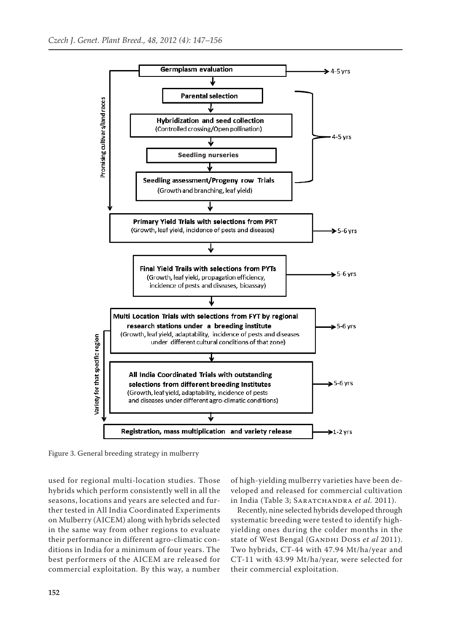

Figure 3. General breeding strategy in mulberry

used for regional multi-location studies. Those hybrids which perform consistently well in all the seasons, locations and years are selected and further tested in All India Coordinated Experiments on Mulberry (AICEM) along with hybrids selected in the same way from other regions to evaluate their performance in different agro-climatic conditions in India for a minimum of four years. The best performers of the AICEM are released for commercial exploitation. By this way, a number

of high-yielding mulberry varieties have been developed and released for commercial cultivation in India (Table 3; Saratchandra *et al.* 2011).

Recently, nine selected hybrids developed through systematic breeding were tested to identify highyielding ones during the colder months in the state of West Bengal (GANDHI DOSS et al 2011). Two hybrids, CT-44 with 47.94 Mt/ha/year and CT-11 with 43.99 Mt/ha/year, were selected for their commercial exploitation.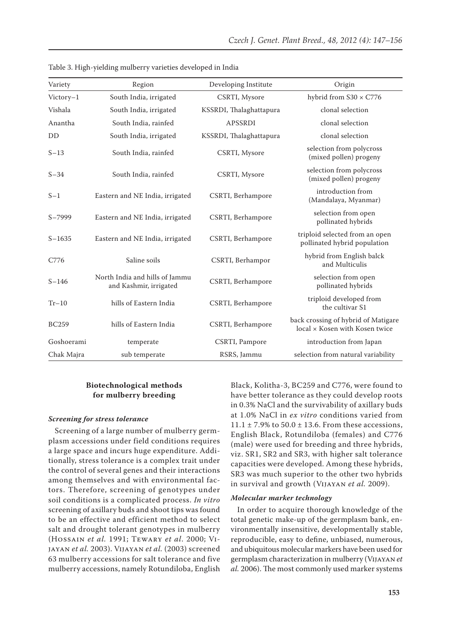| Variety      | Region                                                   | Developing Institute    | Origin                                                                |
|--------------|----------------------------------------------------------|-------------------------|-----------------------------------------------------------------------|
| $Victory-1$  | South India, irrigated                                   | CSRTI, Mysore           | hybrid from $S30 \times C776$                                         |
| Vishala      | South India, irrigated                                   | KSSRDI, Thalaghattapura | clonal selection                                                      |
| Anantha      | South India, rainfed                                     | <b>APSSRDI</b>          | clonal selection                                                      |
| DD           | South India, irrigated                                   | KSSRDI, Thalaghattapura | clonal selection                                                      |
| $S-13$       | South India, rainfed                                     | CSRTI, Mysore           | selection from polycross<br>(mixed pollen) progeny                    |
| $S-34$       | South India, rainfed                                     | CSRTI, Mysore           | selection from polycross<br>(mixed pollen) progeny                    |
| $S-1$        | Eastern and NE India, irrigated                          | CSRTI, Berhampore       | introduction from<br>(Mandalaya, Myanmar)                             |
| $S - 7999$   | Eastern and NE India, irrigated                          | CSRTI, Berhampore       | selection from open<br>pollinated hybrids                             |
| $S-1635$     | Eastern and NE India, irrigated                          | CSRTI, Berhampore       | triploid selected from an open<br>pollinated hybrid population        |
| C776         | Saline soils                                             | CSRTI, Berhampor        | hybrid from English balck<br>and Multiculis                           |
| $S-146$      | North India and hills of Jammu<br>and Kashmir, irrigated | CSRTI, Berhampore       | selection from open<br>pollinated hybrids                             |
| $Tr-10$      | hills of Eastern India                                   | CSRTI, Berhampore       | triploid developed from<br>the cultivar S1                            |
| <b>BC259</b> | hills of Eastern India                                   | CSRTI, Berhampore       | back crossing of hybrid of Matigare<br>local × Kosen with Kosen twice |
| Goshoerami   | temperate                                                | CSRTI, Pampore          | introduction from Japan                                               |
| Chak Majra   | sub temperate                                            | RSRS, Jammu             | selection from natural variability                                    |

Table 3. High-yielding mulberry varieties developed in India

## **Biotechnological methods for mulberry breeding**

## *Screening for stress tolerance*

Screening of a large number of mulberry germplasm accessions under field conditions requires a large space and incurs huge expenditure. Additionally, stress tolerance is a complex trait under the control of several genes and their interactions among themselves and with environmental factors. Therefore, screening of genotypes under soil conditions is a complicated process. *In vitro*  screening of axillary buds and shoot tips was found to be an effective and efficient method to select salt and drought tolerant genotypes in mulberry (Hossain *et al.* 1991; Tewary *et al*. 2000; Vijayan *et al.* 2003). Vijayan *et al.* (2003) screened 63 mulberry accessions for salt tolerance and five mulberry accessions, namely Rotundiloba, English

Black, Kolitha-3, BC259 and C776, were found to have better tolerance as they could develop roots in 0.3% NaCl and the survivability of axillary buds at 1.0% NaCl in *ex vitro* conditions varied from  $11.1 \pm 7.9\%$  to  $50.0 \pm 13.6$ . From these accessions, English Black, Rotundiloba (females) and C776 (male) were used for breeding and three hybrids, viz. SR1, SR2 and SR3, with higher salt tolerance capacities were developed. Among these hybrids, SR3 was much superior to the other two hybrids in survival and growth (Vijayan *et al.* 2009).

#### *Molecular marker technology*

In order to acquire thorough knowledge of the total genetic make-up of the germplasm bank, environmentally insensitive, developmentally stable, reproducible, easy to define, unbiased, numerous, and ubiquitous molecular markers have been used for germplasm characterization in mulberry (Vijayan *et al.* 2006). The most commonly used marker systems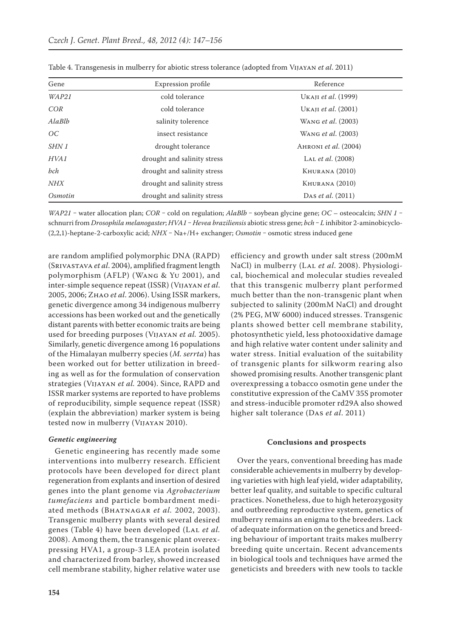| Gene       | Expression profile          | Reference                   |
|------------|-----------------------------|-----------------------------|
| WAP21      | cold tolerance              | UKAJI et al. (1999)         |
| COR        | cold tolerance              | UKAJI et al. $(2001)$       |
| AlaBlb     | salinity tolerence          | WANG et al. (2003)          |
| OC         | insect resistance           | WANG et al. (2003)          |
| SHN 1      | drought tolerance           | AHRONI <i>et al.</i> (2004) |
| HVA1       | drought and salinity stress | LAL <i>et al.</i> (2008)    |
| bch        | drought and salinity stress | KHURANA (2010)              |
| <b>NHX</b> | drought and salinity stress | KHURANA (2010)              |
| Osmotin    | drought and salinity stress | DAS et al. $(2011)$         |

|  |  | Table 4. Transgenesis in mulberry for abiotic stress tolerance (adopted from VIJAYAN et al. 2011) |
|--|--|---------------------------------------------------------------------------------------------------|
|--|--|---------------------------------------------------------------------------------------------------|

*WAP21* – water allocation plan; *COR* – cold on regulation; *AlaBlb* – soybean glycine gene; *OC* – osteocalcin; *SHN 1* – schnurri from *Drosophila melanogaster*; *HVA1* ‒ *Hevea braziliensis* abiotic stress gene; *bch* ‒ *L* inhibitor 2-aminobicyclo- (2,2,1)-heptane-2-carboxylic acid; *NHX* ‒ Na+/H+ exchanger; *Osmotin* ‒ osmotic stress induced gene

are random amplified polymorphic DNA (RAPD) (Srivastava *et al*. 2004), amplified fragment length polymorphism (AFLP) (Wang & Yu 2001), and inter-simple sequence repeat (ISSR) (Vijayan *et al*. 2005, 2006; Zhao *et al*. 2006). Using ISSR markers, genetic divergence among 34 indigenous mulberry accessions has been worked out and the genetically distant parents with better economic traits are being used for breeding purposes (Vijayan *et al.* 2005). Similarly, genetic divergence among 16 populations of the Himalayan mulberry species (*M. serrta*) has been worked out for better utilization in breeding as well as for the formulation of conservation strategies (Vijayan *et al.* 2004). Since, RAPD and ISSR marker systems are reported to have problems of reproducibility, simple sequence repeat (ISSR) (explain the abbreviation) marker system is being tested now in mulberry (Vijayan 2010).

#### *Genetic engineering*

Genetic engineering has recently made some interventions into mulberry research. Efficient protocols have been developed for direct plant regeneration from explants and insertion of desired genes into the plant genome via *Agrobacterium tumefaciens* and particle bombardment mediated methods (Bhatnagar *et al.* 2002, 2003). Transgenic mulberry plants with several desired genes (Table 4) have been developed (Lal *et al.* 2008). Among them, the transgenic plant overexpressing HVA1, a group-3 LEA protein isolated and characterized from barley, showed increased cell membrane stability, higher relative water use efficiency and growth under salt stress (200mM NaCl) in mulberry (Lal *et al*. 2008). Physiological, biochemical and molecular studies revealed that this transgenic mulberry plant performed much better than the non-transgenic plant when subjected to salinity (200mM NaCl) and drought (2% PEG, MW 6000) induced stresses. Transgenic plants showed better cell membrane stability, photosynthetic yield, less photooxidative damage and high relative water content under salinity and water stress. Initial evaluation of the suitability of transgenic plants for silkworm rearing also showed promising results. Another transgenic plant overexpressing a tobacco osmotin gene under the constitutive expression of the CaMV 35S promoter and stress-inducible promoter rd29A also showed higher salt tolerance (Das *et al*. 2011)

#### **Conclusions and prospects**

Over the years, conventional breeding has made considerable achievements in mulberry by developing varieties with high leaf yield, wider adaptability, better leaf quality, and suitable to specific cultural practices. Nonetheless, due to high heterozygosity and outbreeding reproductive system, genetics of mulberry remains an enigma to the breeders. Lack of adequate information on the genetics and breeding behaviour of important traits makes mulberry breeding quite uncertain. Recent advancements in biological tools and techniques have armed the geneticists and breeders with new tools to tackle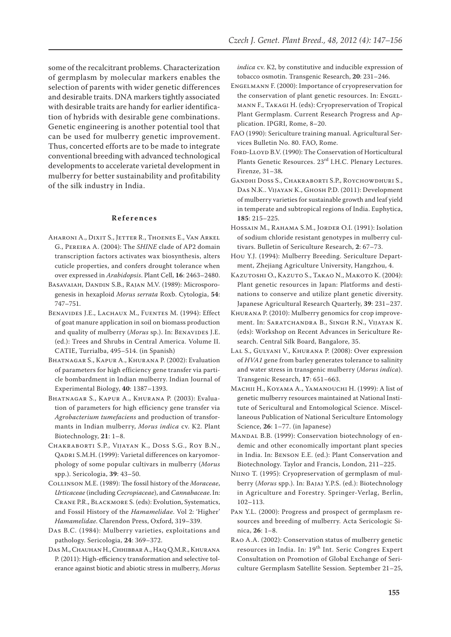some of the recalcitrant problems. Characterization of germplasm by molecular markers enables the selection of parents with wider genetic differences and desirable traits. DNA markers tightly associated with desirable traits are handy for earlier identification of hybrids with desirable gene combinations. Genetic engineering is another potential tool that can be used for mulberry genetic improvement. Thus, concerted efforts are to be made to integrate conventional breeding with advanced technological developments to accelerate varietal development in mulberry for better sustainability and profitability of the silk industry in India.

#### **R e f e r e n c e s**

- Aharoni A., Dixit S., Jetter R., Thoenes E., Van Arkel G., Pereira A. (2004): The *SHINE* clade of AP2 domain transcription factors activates wax biosynthesis, alters cuticle properties, and confers drought tolerance when over expressed in *Arabidopsis*. Plant Cell, **16**: 2463–2480.
- Basavaiah, Dandin S.B., Rajan M.V. (1989): Microsporogenesis in hexaploid *Morus serrata* Roxb. Cytologia, **54**: 747–751.
- Benavides J.E., Lachaux M., Fuentes M. (1994): Effect of goat manure application in soil on biomass production and quality of mulberry (Morus sp.). In: BENAVIDES J.E. (ed.): Trees and Shrubs in Central America. Volume II. CATIE, Turrialba, 495–514. (in Spanish)
- Bhatnagar S., Kapur A., Khurana P. (2002): Evaluation of parameters for high efficiency gene transfer via particle bombardment in Indian mulberry. Indian Journal of Experimental Biology, **40**: 1387–1393.
- Bhatnagar S., Kapur A., Khurana P. (2003): Evaluation of parameters for high efficiency gene transfer via *Agrobacterium tumefaciens* and production of transformants in Indian mulberry, *Morus indica* cv. K2. Plant Biotechnology, **21**: 1–8.
- Chakraborti S.P., Vijayan K., Doss S.G., Roy B.N., QADRI S.M.H. (1999): Varietal differences on karyomorphology of some popular cultivars in mulberry (*Morus* spp.). Sericologia, **39**: 43–50.
- Collinson M.E. (1989): The fossil history of the *Moraceae*, *Urticaceae* (including *Cecropiaceae*), and *Cannabaceae*. In: Crane P.R., Blackmore S. (eds): Evolution, Systematics, and Fossil History of the *Hamamelidae*. Vol 2: 'Higher' *Hamamelidae*. Clarendon Press, Oxford, 319–339.
- Das B.C. (1984): Mulberry varieties, exploitations and pathology. Sericologia, **24**: 369–372.
- Das M., Chauhan H., Chhibbar A., Haq Q.M.R., Khurana P. (2011): High-efficiency transformation and selective tolerance against biotic and abiotic stress in mulberry, *Morus*

*indica* cv. K2, by constitutive and inducible expression of tobacco osmotin. Transgenic Research, **20**: 231–246.

- Engelmann F. (2000): Importance of cryopreservation for the conservation of plant genetic resources. In: ENGELmann F., Takagi H. (eds): Cryopreservation of Tropical Plant Germplasm. Current Research Progress and Application. IPGRI, Rome, 8–20.
- FAO (1990): Sericulture training manual. Agricultural Services Bulletin No. 80. FAO, Rome.
- FORD-LLOYD B.V. (1990): The Conservation of Horticultural Plants Genetic Resources. 23<sup>rd</sup> I.H.C. Plenary Lectures. Firenze, 31–38*.*
- Gandhi Doss S., Chakraborti S.P., Roychowdhuri S., Das N.K.. Vijayan K., Ghosh P.D. (2011): Development of mulberry varieties for sustainable growth and leaf yield in temperate and subtropical regions of India. Euphytica, **185**: 215–225.
- HOSSAIN M., RAHAMA S.M., JORDER O.I. (1991): Isolation of sodium chloride resistant genotypes in mulberry cultivars. Bulletin of Sericulture Research, **2**: 67–73.
- Hou Y.J. (1994): Mulberry Breeding. Sericulture Department, Zhejiang Agriculture University, Hangzhou, 4.
- Kazutoshi O., Kazuto S., Takao N., Makoto K. (2004): Plant genetic resources in Japan: Platforms and destinations to conserve and utilize plant genetic diversity. Japanese Agricultural Research Quarterly, **39**: 231–237.
- Khurana P. (2010): Mulberry genomics for crop improvement. In: Saratchandra B., Singh R.N., Vijayan K. (eds): Workshop on Recent Advances in Sericulture Research. Central Silk Board, Bangalore, 35.
- Lal S., Gulyani V., Khurana P. (2008): Over expression of *HVA1* gene from barley generates tolerance to salinity and water stress in transgenic mulberry (*Morus indica*). Transgenic Research, **17**: 651–663.
- Machii H., Koyama A., Yamanouchi H. (1999): A list of genetic mulberry resources maintained at National Institute of Sericultural and Entomological Science. Miscellaneous Publication of National Sericulture Entomology Science, **26**: 1–77. (in Japanese)
- Mandal B.B. (1999): Conservation biotechnology of endemic and other economically important plant species in India. In: Benson E.E. (ed.): Plant Conservation and Biotechnology. Taylor and Francis, London, 211–225.
- NIINO T. (1995): Cryopreservation of germplasm of mulberry (*Morus* spp.). In: Bajaj Y.P.S. (ed.): Biotechnology in Agriculture and Forestry. Springer-Verlag, Berlin, 102–113.
- Pan Y.L. (2000): Progress and prospect of germplasm resources and breeding of mulberry. Acta Sericologic Sinica, **26**: 1–8.
- Rao A.A. (2002): Conservation status of mulberry genetic resources in India. In: 19th Int. Seric Congres Expert Consultation on Promotion of Global Exchange of Sericulture Germplasm Satellite Session. September 21–25,